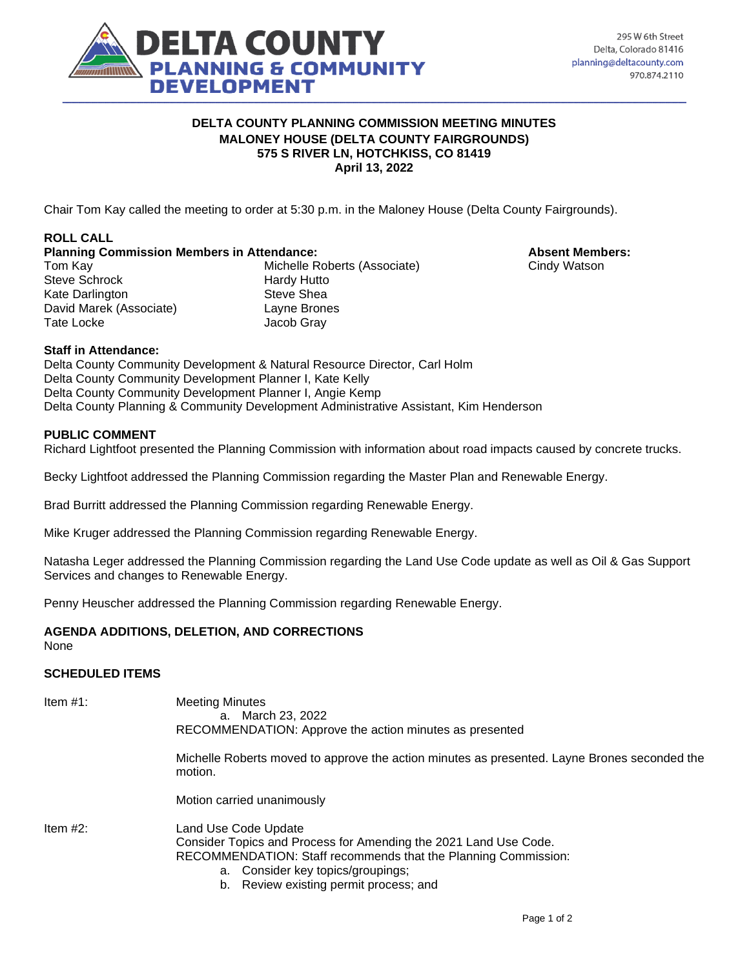

### **DELTA COUNTY PLANNING COMMISSION MEETING MINUTES MALONEY HOUSE (DELTA COUNTY FAIRGROUNDS) 575 S RIVER LN, HOTCHKISS, CO 81419 April 13, 2022**

Chair Tom Kay called the meeting to order at 5:30 p.m. in the Maloney House (Delta County Fairgrounds).

## **ROLL CALL**

**Planning Commission Members in Attendance: Absent Members: Absent Members:** 

Steve Schrock Hardy Hutto Kate Darlington Steve Shea David Marek (Associate) Layne Brones Tate Locke Jacob Gray

Tom Kay **Michelle Roberts (Associate)** Cindy Watson

**Staff in Attendance:**

Delta County Community Development & Natural Resource Director, Carl Holm Delta County Community Development Planner I, Kate Kelly Delta County Community Development Planner I, Angie Kemp Delta County Planning & Community Development Administrative Assistant, Kim Henderson

## **PUBLIC COMMENT**

Richard Lightfoot presented the Planning Commission with information about road impacts caused by concrete trucks.

Becky Lightfoot addressed the Planning Commission regarding the Master Plan and Renewable Energy.

Brad Burritt addressed the Planning Commission regarding Renewable Energy.

Mike Kruger addressed the Planning Commission regarding Renewable Energy.

Natasha Leger addressed the Planning Commission regarding the Land Use Code update as well as Oil & Gas Support Services and changes to Renewable Energy.

Penny Heuscher addressed the Planning Commission regarding Renewable Energy.

## **AGENDA ADDITIONS, DELETION, AND CORRECTIONS**

None

## **SCHEDULED ITEMS**

| Item #1:    | <b>Meeting Minutes</b><br>a. March 23, 2022<br>RECOMMENDATION: Approve the action minutes as presented                                                                                                                                    |
|-------------|-------------------------------------------------------------------------------------------------------------------------------------------------------------------------------------------------------------------------------------------|
|             | Michelle Roberts moved to approve the action minutes as presented. Layne Brones seconded the<br>motion.                                                                                                                                   |
|             | Motion carried unanimously                                                                                                                                                                                                                |
| Item $#2$ : | Land Use Code Update<br>Consider Topics and Process for Amending the 2021 Land Use Code.<br>RECOMMENDATION: Staff recommends that the Planning Commission:<br>a. Consider key topics/groupings;<br>b. Review existing permit process; and |